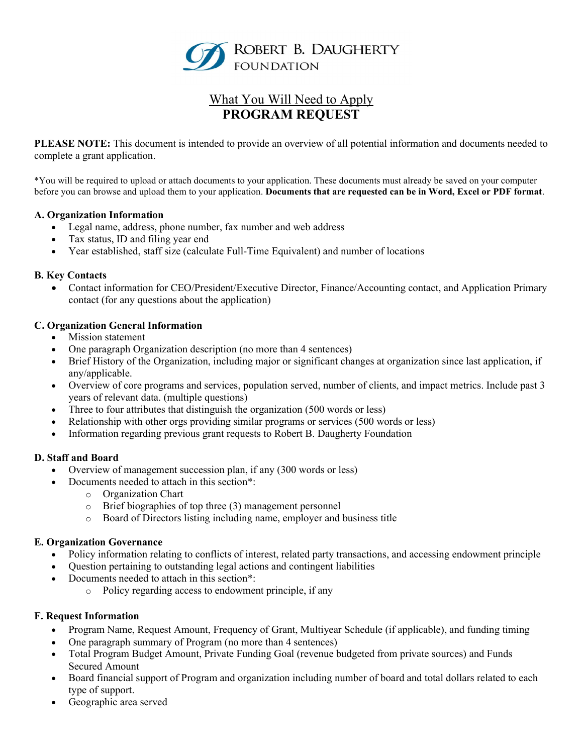

# What You Will Need to Apply PROGRAM REQUEST

PLEASE NOTE: This document is intended to provide an overview of all potential information and documents needed to complete a grant application.

\*You will be required to upload or attach documents to your application. These documents must already be saved on your computer before you can browse and upload them to your application. Documents that are requested can be in Word, Excel or PDF format.

#### A. Organization Information

- Legal name, address, phone number, fax number and web address
- Tax status, ID and filing year end
- Year established, staff size (calculate Full-Time Equivalent) and number of locations

#### B. Key Contacts

 Contact information for CEO/President/Executive Director, Finance/Accounting contact, and Application Primary contact (for any questions about the application)

# C. Organization General Information

- Mission statement
- One paragraph Organization description (no more than 4 sentences)
- Brief History of the Organization, including major or significant changes at organization since last application, if any/applicable.
- Overview of core programs and services, population served, number of clients, and impact metrics. Include past 3 years of relevant data. (multiple questions)
- Three to four attributes that distinguish the organization (500 words or less)
- Relationship with other orgs providing similar programs or services (500 words or less)
- Information regarding previous grant requests to Robert B. Daugherty Foundation

#### D. Staff and Board

- Overview of management succession plan, if any (300 words or less)
- Documents needed to attach in this section\*:
	- o Organization Chart
	- o Brief biographies of top three (3) management personnel
	- o Board of Directors listing including name, employer and business title

#### E. Organization Governance

- Policy information relating to conflicts of interest, related party transactions, and accessing endowment principle
- Question pertaining to outstanding legal actions and contingent liabilities
- Documents needed to attach in this section\*:
	- o Policy regarding access to endowment principle, if any

#### F. Request Information

- Program Name, Request Amount, Frequency of Grant, Multiyear Schedule (if applicable), and funding timing
- One paragraph summary of Program (no more than 4 sentences)
- Total Program Budget Amount, Private Funding Goal (revenue budgeted from private sources) and Funds Secured Amount
- Board financial support of Program and organization including number of board and total dollars related to each type of support.
- Geographic area served